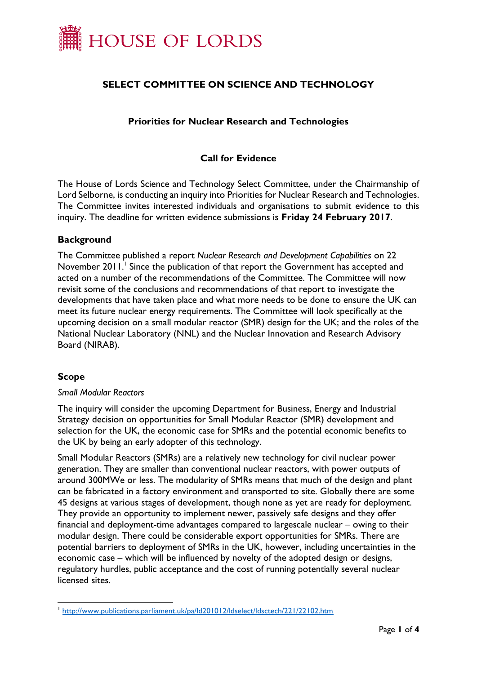

# **SELECT COMMITTEE ON SCIENCE AND TECHNOLOGY**

## **Priorities for Nuclear Research and Technologies**

## **Call for Evidence**

The House of Lords Science and Technology Select Committee, under the Chairmanship of Lord Selborne, is conducting an inquiry into Priorities for Nuclear Research and Technologies. The Committee invites interested individuals and organisations to submit evidence to this inquiry. The deadline for written evidence submissions is **Friday 24 February 2017**.

#### **Background**

The Committee published a report *Nuclear Research and Development Capabilities* on 22 November 2011.<sup>1</sup> Since the publication of that report the Government has accepted and acted on a number of the recommendations of the Committee. The Committee will now revisit some of the conclusions and recommendations of that report to investigate the developments that have taken place and what more needs to be done to ensure the UK can meet its future nuclear energy requirements. The Committee will look specifically at the upcoming decision on a small modular reactor (SMR) design for the UK; and the roles of the National Nuclear Laboratory (NNL) and the Nuclear Innovation and Research Advisory Board (NIRAB).

## **Scope**

-

#### *Small Modular Reactors*

The inquiry will consider the upcoming Department for Business, Energy and Industrial Strategy decision on opportunities for Small Modular Reactor (SMR) development and selection for the UK, the economic case for SMRs and the potential economic benefits to the UK by being an early adopter of this technology.

Small Modular Reactors (SMRs) are a relatively new technology for civil nuclear power generation. They are smaller than conventional nuclear reactors, with power outputs of around 300MWe or less. The modularity of SMRs means that much of the design and plant can be fabricated in a factory environment and transported to site. Globally there are some 45 designs at various stages of development, though none as yet are ready for deployment. They provide an opportunity to implement newer, passively safe designs and they offer financial and deployment-time advantages compared to largescale nuclear – owing to their modular design. There could be considerable export opportunities for SMRs. There are potential barriers to deployment of SMRs in the UK, however, including uncertainties in the economic case – which will be influenced by novelty of the adopted design or designs, regulatory hurdles, public acceptance and the cost of running potentially several nuclear licensed sites.

<sup>&</sup>lt;sup>1</sup> <http://www.publications.parliament.uk/pa/ld201012/ldselect/ldsctech/221/22102.htm>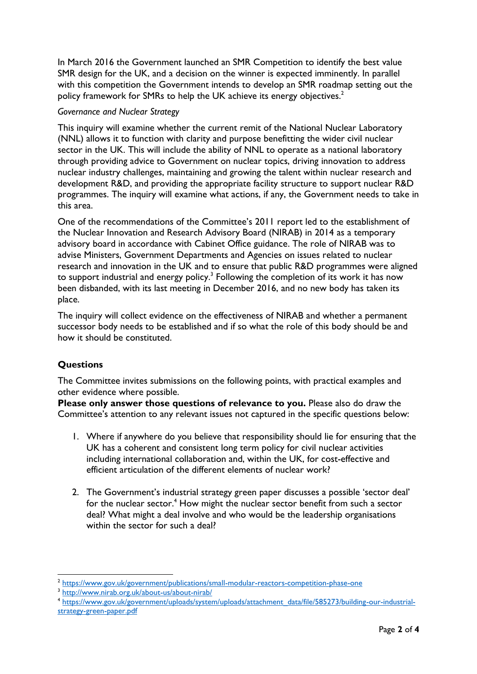In March 2016 the Government launched an SMR Competition to identify the best value SMR design for the UK, and a decision on the winner is expected imminently. In parallel with this competition the Government intends to develop an SMR roadmap setting out the policy framework for SMRs to help the UK achieve its energy objectives.<sup>2</sup>

# *Governance and Nuclear Strategy*

This inquiry will examine whether the current remit of the National Nuclear Laboratory (NNL) allows it to function with clarity and purpose benefitting the wider civil nuclear sector in the UK. This will include the ability of NNL to operate as a national laboratory through providing advice to Government on nuclear topics, driving innovation to address nuclear industry challenges, maintaining and growing the talent within nuclear research and development R&D, and providing the appropriate facility structure to support nuclear R&D programmes. The inquiry will examine what actions, if any, the Government needs to take in this area.

One of the recommendations of the Committee's 2011 report led to the establishment of the Nuclear Innovation and Research Advisory Board (NIRAB) in 2014 as a temporary advisory board in accordance with Cabinet Office guidance. The role of NIRAB was to advise Ministers, Government Departments and Agencies on issues related to nuclear research and innovation in the UK and to ensure that public R&D programmes were aligned to support industrial and energy policy.<sup>3</sup> Following the completion of its work it has now been disbanded, with its last meeting in December 2016, and no new body has taken its place.

The inquiry will collect evidence on the effectiveness of NIRAB and whether a permanent successor body needs to be established and if so what the role of this body should be and how it should be constituted.

# **Questions**

-

The Committee invites submissions on the following points, with practical examples and other evidence where possible.

**Please only answer those questions of relevance to you.** Please also do draw the Committee's attention to any relevant issues not captured in the specific questions below:

- 1. Where if anywhere do you believe that responsibility should lie for ensuring that the UK has a coherent and consistent long term policy for civil nuclear activities including international collaboration and, within the UK, for cost-effective and efficient articulation of the different elements of nuclear work?
- 2. The Government's industrial strategy green paper discusses a possible 'sector deal' for the nuclear sector.<sup>4</sup> How might the nuclear sector benefit from such a sector deal? What might a deal involve and who would be the leadership organisations within the sector for such a deal?

<sup>2</sup> <https://www.gov.uk/government/publications/small-modular-reactors-competition-phase-one>

<sup>3</sup> <http://www.nirab.org.uk/about-us/about-nirab/>

<sup>4</sup> [https://www.gov.uk/government/uploads/system/uploads/attachment\\_data/file/585273/building-our-industrial](https://www.gov.uk/government/uploads/system/uploads/attachment_data/file/585273/building-our-industrial-strategy-green-paper.pdf)[strategy-green-paper.pdf](https://www.gov.uk/government/uploads/system/uploads/attachment_data/file/585273/building-our-industrial-strategy-green-paper.pdf)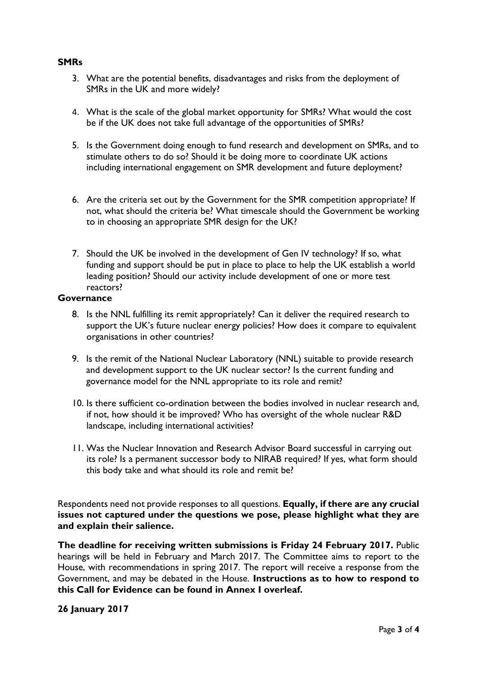### **SMRs**

- 3. What are the potential benefits, disadvantages and risks from the deployment of SMRs in the UK and more widely?
- 4. What is the scale of the global market opportunity for SMRs? What would the cost be if the UK does not take full advantage of the opportunities of SMRs?
- 5. Is the Government doing enough to fund research and development on SMRs, and to stimulate others to do so? Should it be doing more to coordinate UK actions including international engagement on SMR development and future deployment?
- 6. Are the criteria set out by the Government for the SMR competition appropriate? If not, what should the criteria be? What timescale should the Government be working to in choosing an appropriate SMR design for the UK?
- 7. Should the UK be involved in the development of Gen IV technology? If so, what funding and support should be put in place to place to help the UK establish a world leading position? Should our activity include development of one or more test reactors?

### **Governance**

- 8. Is the NNL fulfilling its remit appropriately? Can it deliver the required research to support the UK's future nuclear energy policies? How does it compare to equivalent organisations in other countries?
- 9. Is the remit of the National Nuclear Laboratory (NNL) suitable to provide research and development support to the UK nuclear sector? Is the current funding and governance model for the NNL appropriate to its role and remit?
- 10. Is there sufficient co-ordination between the bodies involved in nuclear research and, if not, how should it be improved? Who has oversight of the whole nuclear R&D landscape, including international activities?
- 11. Was the Nuclear Innovation and Research Advisor Board successful in carrying out its role? Is a permanent successor body to NIRAB required? If yes, what form should this body take and what should its role and remit be?

Respondents need not provide responses to all questions. **Equally, if there are any crucial issues not captured under the questions we pose, please highlight what they are and explain their salience.**

**The deadline for receiving written submissions is Friday 24 February 2017.** Public hearings will be held in February and March 2017. The Committee aims to report to the House, with recommendations in spring 2017. The report will receive a response from the Government, and may be debated in the House. **Instructions as to how to respond to this Call for Evidence can be found in Annex I overleaf.** 

**26 January 2017**